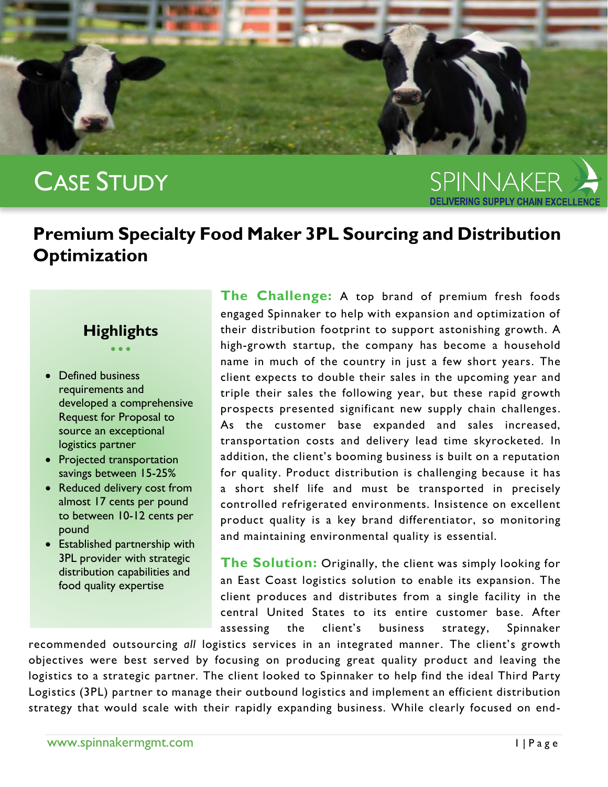

## CASE STUDY

SPINNAKER

## **Premium Specialty Food Maker 3PL Sourcing and Distribution Optimization**

## **Highlights** • • •

- Defined business requirements and developed a comprehensive Request for Proposal to source an exceptional logistics partner
- Projected transportation savings between 15-25%
- Reduced delivery cost from almost 17 cents per pound to between 10-12 cents per pound
- Established partnership with 3PL provider with strategic distribution capabilities and food quality expertise

**The Challenge:** A top brand of premium fresh foods engaged Spinnaker to help with expansion and optimization of their distribution footprint to support astonishing growth. A high-growth startup, the company has become a household name in much of the country in just a few short years. The client expects to double their sales in the upcoming year and triple their sales the following year, but these rapid growth prospects presented significant new supply chain challenges. As the customer base expanded and sales increased, transportation costs and delivery lead time skyrocketed. In addition, the client's booming business is built on a reputation for quality. Product distribution is challenging because it has a short shelf life and must be transported in precisely controlled refrigerated environments. Insistence on excellent product quality is a key brand differentiator, so monitoring and maintaining environmental quality is essential.

**The Solution:** Originally, the client was simply looking for an East Coast logistics solution to enable its expansion. The client produces and distributes from a single facility in the central United States to its entire customer base. After assessing the client's business strategy, Spinnaker

recommended outsourcing *all* logistics services in an integrated manner. The client's growth objectives were best served by focusing on producing great quality product and leaving the logistics to a strategic partner*.* The client looked to Spinnaker to help find the ideal Third Party Logistics (3PL) partner to manage their outbound logistics and implement an efficient distribution strategy that would scale with their rapidly expanding business. While clearly focused on end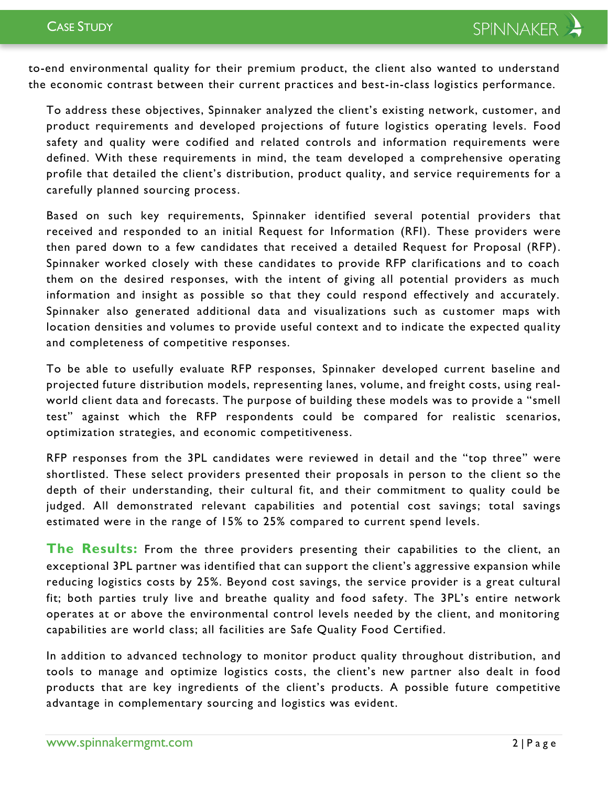to-end environmental quality for their premium product, the client also wanted to understand the economic contrast between their current practices and best-in-class logistics performance.

To address these objectives, Spinnaker analyzed the client's existing network, customer, and product requirements and developed projections of future logistics operating levels. Food safety and quality were codified and related controls and information requirements were defined. With these requirements in mind, the team developed a comprehensive operating profile that detailed the client's distribution, product quality, and service requirements for a carefully planned sourcing process.

Based on such key requirements, Spinnaker identified several potential providers that received and responded to an initial Request for Information (RFI). These providers were then pared down to a few candidates that received a detailed Request for Proposal (RFP). Spinnaker worked closely with these candidates to provide RFP clarifications and to coach them on the desired responses, with the intent of giving all potential providers as much information and insight as possible so that they could respond effectively and accurately. Spinnaker also generated additional data and visualizations such as customer maps with location densities and volumes to provide useful context and to indicate the expected quality and completeness of competitive responses.

To be able to usefully evaluate RFP responses, Spinnaker developed current baseline and projected future distribution models, representing lanes, volume, and freight costs, using realworld client data and forecasts. The purpose of building these models was to provide a "smell test" against which the RFP respondents could be compared for realistic scenarios, optimization strategies, and economic competitiveness.

RFP responses from the 3PL candidates were reviewed in detail and the "top three" were shortlisted. These select providers presented their proposals in person to the client so the depth of their understanding, their cultural fit, and their commitment to quality could be judged. All demonstrated relevant capabilities and potential cost savings; total savings estimated were in the range of 15% to 25% compared to current spend levels.

**The Results:** From the three providers presenting their capabilities to the client, an exceptional 3PL partner was identified that can support the client's aggressive expansion while reducing logistics costs by 25%. Beyond cost savings, the service provider is a great cultural fit; both parties truly live and breathe quality and food safety. The 3PL's entire network operates at or above the environmental control levels needed by the client, and monitoring capabilities are world class; all facilities are Safe Quality Food Certified.

In addition to advanced technology to monitor product quality throughout distribution, and tools to manage and optimize logistics costs, the client's new partner also dealt in food products that are key ingredients of the client's products. A possible future competitive advantage in complementary sourcing and logistics was evident.